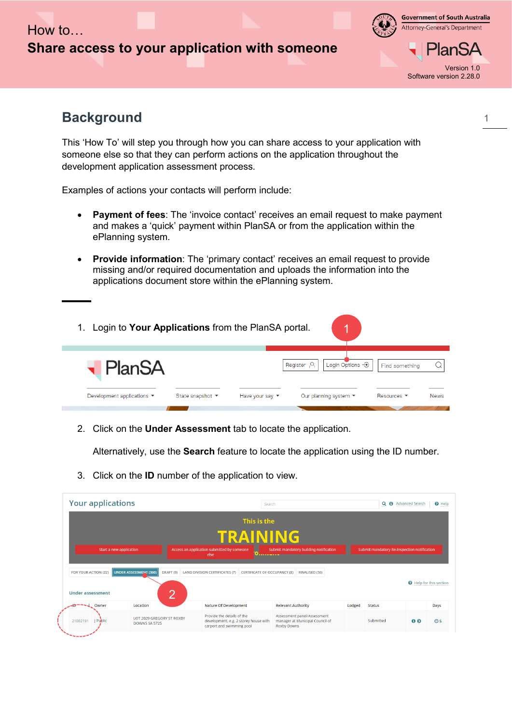

**Government of South Australia** Attorney-General's Department

Version 1.0 Software version 2.28.0

## **Background**

This 'How To' will step you through how you can share access to your application with someone else so that they can perform actions on the application throughout the development application assessment process.

Examples of actions your contacts will perform include:

- **Payment of fees**: The 'invoice contact' receives an email request to make payment and makes a 'quick' payment within PlanSA or from the application within the ePlanning system.
- **Provide information**: The 'primary contact' receives an email request to provide missing and/or required documentation and uploads the information into the applications document store within the ePlanning system.



2. Click on the **Under Assessment** tab to locate the application.

Alternatively, use the **Search** feature to locate the application using the ID number.

3. Click on the **ID** number of the application to view.

| <b>Your applications</b>    |                                            |                                                                                                  | Search                                                         |        |                                             | Q + Advanced Search<br>$\Theta$ Help |                |
|-----------------------------|--------------------------------------------|--------------------------------------------------------------------------------------------------|----------------------------------------------------------------|--------|---------------------------------------------|--------------------------------------|----------------|
|                             |                                            | This is the                                                                                      |                                                                |        |                                             |                                      |                |
|                             |                                            | TRAINING                                                                                         |                                                                |        |                                             |                                      |                |
| Start a new application     |                                            | Access an application submitted by someone<br>else<br><u>Ануа и укукучали укуку</u>              | Submit mandatory building notification                         |        | Submit mandatory Re-Inspection notification |                                      |                |
|                             |                                            |                                                                                                  |                                                                |        |                                             |                                      |                |
| <b>FOR YOUR ACTION (22)</b> | UNDER ASSESSMENT (360)                     | DRAFT (9) LAND DIVISION CERTIFICATES (7)<br><b>CERTIFICATE OF OCCUPANCY (8)</b>                  | <b>FINALISED (56)</b>                                          |        |                                             | <b>Q</b> Help for this section       |                |
| <b>Under assessment</b>     | 0<br>∠                                     |                                                                                                  |                                                                |        |                                             |                                      |                |
| Owner                       | Location                                   | <b>Nature Of Development</b>                                                                     | <b>Relevant Authority</b>                                      | Lodged | <b>Status</b>                               |                                      | Days           |
| I Public<br>21002191        | LOT 2029 GREGORY ST ROXBY<br>DOWNS SA 5725 | Provide the details of the<br>development, e.g. 2 storey house with<br>carport and swimming pool | Assessment panel/Assessment<br>manager at Municipal Council of |        | Submitted                                   | 00                                   | O <sub>5</sub> |

1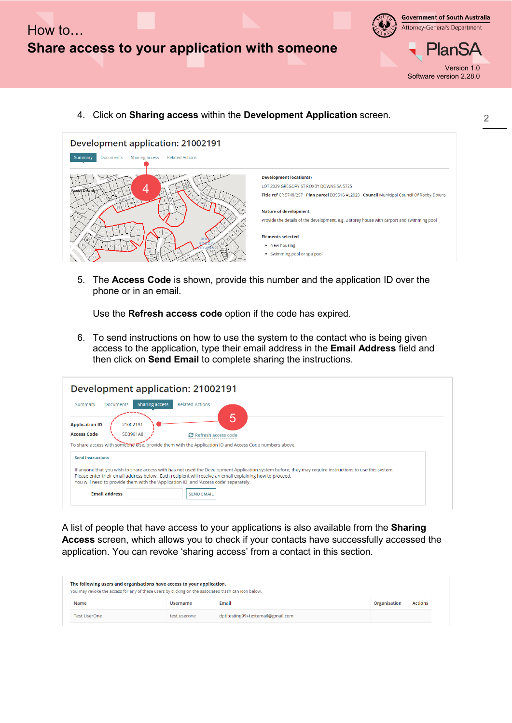

**Government of South Australia** Attorney-General's Department



Version 1.0 Software version 2.28.0

4. Click on **Sharing access** within the **Development Application** screen.



5. The **Access Code** is shown, provide this number and the application ID over the phone or in an email.

Use the **Refresh access code** option if the code has expired.

6. To send instructions on how to use the system to the contact who is being given access to the application, type their email address in the **Email Address** field and then click on **Send Email** to complete sharing the instructions.

| Development application: 21002191                                                                                                                                                                |  |
|--------------------------------------------------------------------------------------------------------------------------------------------------------------------------------------------------|--|
| <b>Related Actions</b><br><b>Sharing access</b><br><b>Documents</b><br>Summary                                                                                                                   |  |
| 5<br>21002191<br><b>Application ID</b><br><b>Access Code</b><br>5B3991A8<br><b>2</b> Refresh access code                                                                                         |  |
| To share access with someone effect provide them with the Application ID and Access Code numbers above.                                                                                          |  |
| <b>Send Instructions</b><br>If anyone that you wish to share access with has not used the Development Application system before, they may require instructions to use this system.               |  |
| Please enter their email address below. Each recipient will receive an email explaining how to proceed.<br>You will need to provide them with the 'Application ID' and 'Access code' seperately. |  |
| <b>Email address</b><br><b>SEND EMAIL</b>                                                                                                                                                        |  |

A list of people that have access to your applications is also available from the **Sharing Access** screen, which allows you to check if your contacts have successfully accessed the application. You can revoke 'sharing access' from a contact in this section.

| The following users and organisations have access to your application.<br>You may revoke the access for any of these users by clicking on the associated trash can icon below. |              |                                   |              |                |
|--------------------------------------------------------------------------------------------------------------------------------------------------------------------------------|--------------|-----------------------------------|--------------|----------------|
| Name                                                                                                                                                                           | Username     | Email                             | Organisation | <b>Actions</b> |
| <b>Test UserOne</b>                                                                                                                                                            | test.userone | dptitesting99+testemail@gmail.com |              |                |